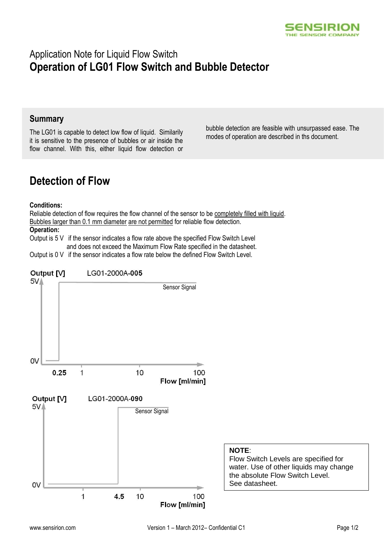

## Application Note for Liquid Flow Switch **Operation of LG01 Flow Switch and Bubble Detector**

### **Summary**

The LG01 is capable to detect low flow of liquid. Similarily it is sensitive to the presence of bubbles or air inside the flow channel. With this, either liquid flow detection or bubble detection are feasible with unsurpassed ease. The modes of operation are described in ths document.

# **Detection of Flow**

#### **Conditions:**

Reliable detection of flow requires the flow channel of the sensor to be completely filled with liquid. Bubbles larger than 0.1 mm diameter are not permitted for reliable flow detection.

#### **Operation:**

Output is 5 V if the sensor indicates a flow rate above the specified Flow Switch Level and does not exceed the Maximum Flow Rate specified in the datasheet.

Output is 0 V if the sensor indicates a flow rate below the defined Flow Switch Level.